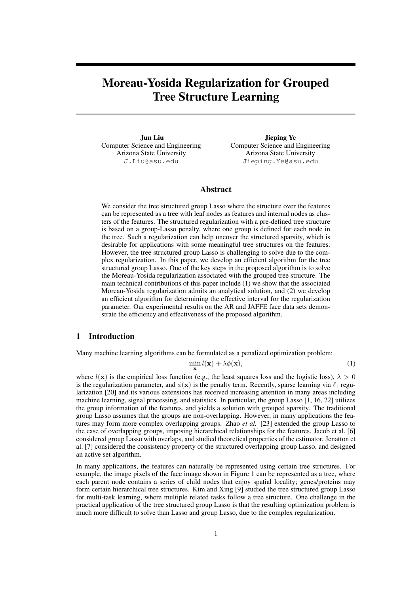# Moreau-Yosida Regularization for Grouped Tree Structure Learning

Jun Liu Computer Science and Engineering Arizona State University J.Liu@asu.edu

Jieping Ye Computer Science and Engineering Arizona State University Jieping.Ye@asu.edu

## Abstract

We consider the tree structured group Lasso where the structure over the features can be represented as a tree with leaf nodes as features and internal nodes as clusters of the features. The structured regularization with a pre-defined tree structure is based on a group-Lasso penalty, where one group is defined for each node in the tree. Such a regularization can help uncover the structured sparsity, which is desirable for applications with some meaningful tree structures on the features. However, the tree structured group Lasso is challenging to solve due to the complex regularization. In this paper, we develop an efficient algorithm for the tree structured group Lasso. One of the key steps in the proposed algorithm is to solve the Moreau-Yosida regularization associated with the grouped tree structure. The main technical contributions of this paper include (1) we show that the associated Moreau-Yosida regularization admits an analytical solution, and (2) we develop an efficient algorithm for determining the effective interval for the regularization parameter. Our experimental results on the AR and JAFFE face data sets demonstrate the efficiency and effectiveness of the proposed algorithm.

# 1 Introduction

Many machine learning algorithms can be formulated as a penalized optimization problem:

$$
\min_{\mathbf{x}} l(\mathbf{x}) + \lambda \phi(\mathbf{x}),\tag{1}
$$

where  $l(x)$  is the empirical loss function (e.g., the least squares loss and the logistic loss),  $\lambda > 0$ is the regularization parameter, and  $\phi(\mathbf{x})$  is the penalty term. Recently, sparse learning via  $\ell_1$  regularization [20] and its various extensions has received increasing attention in many areas including machine learning, signal processing, and statistics. In particular, the group Lasso [1, 16, 22] utilizes the group information of the features, and yields a solution with grouped sparsity. The traditional group Lasso assumes that the groups are non-overlapping. However, in many applications the features may form more complex overlapping groups. Zhao *et al.* [23] extended the group Lasso to the case of overlapping groups, imposing hierarchical relationships for the features. Jacob et al. [6] considered group Lasso with overlaps, and studied theoretical properties of the estimator. Jenatton et al. [7] considered the consistency property of the structured overlapping group Lasso, and designed an active set algorithm.

In many applications, the features can naturally be represented using certain tree structures. For example, the image pixels of the face image shown in Figure 1 can be represented as a tree, where each parent node contains a series of child nodes that enjoy spatial locality; genes/proteins may form certain hierarchical tree structures. Kim and Xing [9] studied the tree structured group Lasso for multi-task learning, where multiple related tasks follow a tree structure. One challenge in the practical application of the tree structured group Lasso is that the resulting optimization problem is much more difficult to solve than Lasso and group Lasso, due to the complex regularization.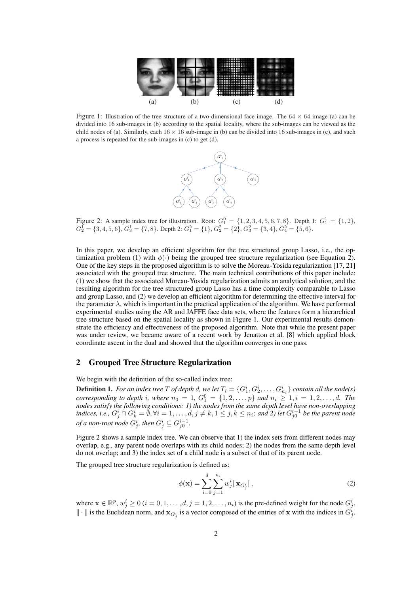

Figure 1: Illustration of the tree structure of a two-dimensional face image. The  $64 \times 64$  image (a) can be divided into 16 sub-images in (b) according to the spatial locality, where the sub-images can be viewed as the child nodes of (a). Similarly, each  $16 \times 16$  sub-image in (b) can be divided into 16 sub-images in (c), and such a process is repeated for the sub-images in (c) to get (d).



Figure 2: A sample index tree for illustration. Root:  $G_1^0 = \{1, 2, 3, 4, 5, 6, 7, 8\}$ . Depth 1:  $G_1^1 = \{1, 2\}$ ,  $G_2^1 = \{3, 4, 5, 6\}, G_3^1 = \{7, 8\}.$  Depth 2:  $G_1^2 = \{1\}, G_2^2 = \{2\}, G_3^2 = \{3, 4\}, G_4^2 = \{5, 6\}.$ 

In this paper, we develop an efficient algorithm for the tree structured group Lasso, i.e., the optimization problem (1) with  $\phi(\cdot)$  being the grouped tree structure regularization (see Equation 2). One of the key steps in the proposed algorithm is to solve the Moreau-Yosida regularization [17, 21] associated with the grouped tree structure. The main technical contributions of this paper include: (1) we show that the associated Moreau-Yosida regularization admits an analytical solution, and the resulting algorithm for the tree structured group Lasso has a time complexity comparable to Lasso and group Lasso, and (2) we develop an efficient algorithm for determining the effective interval for the parameter  $\lambda$ , which is important in the practical application of the algorithm. We have performed experimental studies using the AR and JAFFE face data sets, where the features form a hierarchical tree structure based on the spatial locality as shown in Figure 1. Our experimental results demonstrate the efficiency and effectiveness of the proposed algorithm. Note that while the present paper was under review, we became aware of a recent work by Jenatton et al. [8] which applied block coordinate ascent in the dual and showed that the algorithm converges in one pass.

## 2 Grouped Tree Structure Regularization

We begin with the definition of the so-called index tree:

**Definition 1.** For an index tree T of depth d, we let  $T_i = \{G_1^i, G_2^i, \ldots, G_{n_i}^i\}$  contain all the node(s) *corresponding to depth i, where*  $n_0 = 1$ ,  $G_1^0 = \{1, 2, ..., p\}$  *and*  $n_i \ge 1, i = 1, 2, ..., d$ . The *nodes satisfy the following conditions: 1) the nodes from the same depth level have non-overlapping indices, i.e.,*  $G_j^i$  ∩  $G_k^i = \emptyset$ ,  $\forall i = 1, ..., d, j \neq k, 1 \leq j, k \leq n_i$ ; and 2) let  $G_{j0}^{i-1}$  be the parent node *of a non-root node*  $G^i_j$ , then  $G^i_j \subseteq G^{i-1}_{j0}$ .

Figure 2 shows a sample index tree. We can observe that 1) the index sets from different nodes may overlap, e.g., any parent node overlaps with its child nodes; 2) the nodes from the same depth level do not overlap; and 3) the index set of a child node is a subset of that of its parent node.

The grouped tree structure regularization is defined as:

$$
\phi(\mathbf{x}) = \sum_{i=0}^{d} \sum_{j=1}^{n_i} w_j^i \|\mathbf{x}_{G_j^i}\|,
$$
\n(2)

where  $\mathbf{x} \in \mathbb{R}^p$ ,  $w_j^i \ge 0$  ( $i = 0, 1, \dots, d, j = 1, 2, \dots, n_i$ ) is the pre-defined weight for the node  $G_j^i$ ,  $\|\cdot\|$  is the Euclidean norm, and  $\mathbf{x}_{G_j^i}$  is a vector composed of the entries of x with the indices in  $G_j^i$ .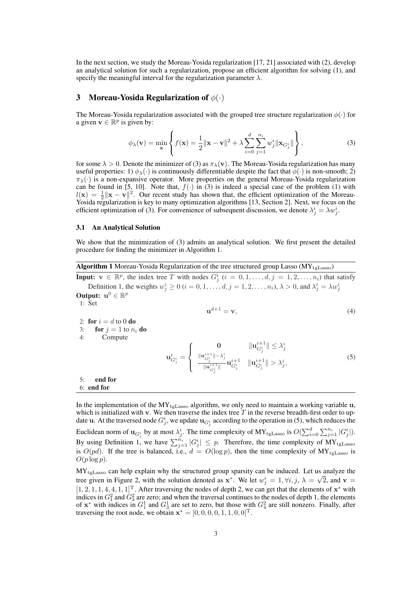In the next section, we study the Moreau-Yosida regularization [17, 21] associated with (2), develop an analytical solution for such a regularization, propose an efficient algorithm for solving (1), and specify the meaningful interval for the regularization parameter  $\lambda$ .

# 3 Moreau-Yosida Regularization of  $\phi(\cdot)$

The Moreau-Yosida regularization associated with the grouped tree structure regularization  $\phi(\cdot)$  for a given  $\mathbf{v} \in \mathbb{R}^p$  is given by:  $\overline{a}$  $\ddot{\phantom{a}}$ 

$$
\phi_{\lambda}(\mathbf{v}) = \min_{\mathbf{x}} \left\{ f(\mathbf{x}) = \frac{1}{2} ||\mathbf{x} - \mathbf{v}||^2 + \lambda \sum_{i=0}^d \sum_{j=1}^{n_i} w_j^i ||\mathbf{x}_{G_j^i}|| \right\},\tag{3}
$$

for some  $\lambda > 0$ . Denote the minimizer of (3) as  $\pi_{\lambda}(\mathbf{v})$ . The Moreau-Yosida regularization has many useful properties: 1)  $\phi_{\lambda}(\cdot)$  is continuously differentiable despite the fact that  $\phi(\cdot)$  is non-smooth; 2)  $\pi_{\lambda}(\cdot)$  is a non-expansive operator. More properties on the general Moreau-Yosida regularization can be found in [5, 10]. Note that,  $f(\cdot)$  in (3) is indeed a special case of the problem (1) with  $l(\mathbf{x}) = \frac{1}{2} ||\mathbf{x} - \mathbf{v}||^2$ . Our recent study has shown that, the efficient optimization of the Moreau-Yosida regularization is key to many optimization algorithms [13, Section 2]. Next, we focus on the efficient optimization of (3). For convenience of subsequent discussion, we denote  $\lambda_j^i = \lambda w_j^i$ .

#### 3.1 An Analytical Solution

We show that the minimization of (3) admits an analytical solution. We first present the detailed procedure for finding the minimizer in Algorithm 1.

|  | <b>Algorithm 1</b> Moreau-Yosida Regularization of the tree structured group Lasso ( $MY_{tgLasso}$ ) |  |  |  |
|--|-------------------------------------------------------------------------------------------------------|--|--|--|
|--|-------------------------------------------------------------------------------------------------------|--|--|--|

**Input:**  $v \in \mathbb{R}^p$ , the index tree T with nodes  $G_j^i$  ( $i = 0, 1, ..., d, j = 1, 2, ..., n_i$ ) that satisfy Definition 1, the weights  $w_j^i \ge 0$  ( $i = 0, 1, ..., d, j = 1, 2, ..., n_i$ ),  $\lambda > 0$ , and  $\lambda_j^i = \lambda w_j^i$ Output:  $\mathbf{u}^0 \in \mathbb{R}^p$ 

1: Set

$$
\mathbf{u}^{d+1} = \mathbf{v},\tag{4}
$$

2: for  $i = d$  to 0 do

3: for  $j = 1$  to  $n_i$  do 4: Compute

$$
\mathbf{u}_{G_j^i}^i = \begin{cases} 0 & \|\mathbf{u}_{G_j^i}^{i+1}\| \leq \lambda_j^i\\ \frac{\|\mathbf{u}_{G_j^i}^{i+1}\| - \lambda_j^i}{\|\mathbf{u}_{G_j^i}^{i+1}\|} \mathbf{u}_{G_j^i}^{i+1} & \|\mathbf{u}_{G_j^i}^{i+1}\| > \lambda_j^i, \end{cases}
$$
(5)

5: end for 6: end for

In the implementation of the  $MY_{tgLasso}$  algorithm, we only need to maintain a working variable u, which is initialized with v. We then traverse the index tree  $T$  in the reverse breadth-first order to update **u**. At the traversed node  $G_j^i$ , we update  $\mathbf{u}_{G_j^i}$  according to the operation in (5), which reduces the Euclidean norm of  $\mathbf{u}_{G_j^i}$  by at most  $\lambda_j^i$ . The time complexity of  $\mathbf{M} \mathbf{Y}_{\text{tgLasso}}$  is  $O(\sum_{i=0}^d \sum_{j=1}^{n_i} |G_j^i|)$ . By using Definition 1, we have  $\sum_{j=1}^{n_i} |G_j^i| \leq p$ . Therefore, the time complexity of  $MY_{\text{tgLasso}}$ is  $O(pd)$ . If the tree is balanced, i.e.,  $d = O(\log p)$ , then the time complexity of  $MY_{\text{teLasso}}$  is  $O(p \log p)$ .

 $MY_{\text{tgLasso}}$  can help explain why the structured group sparsity can be induced. Let us analyze the tree given in Figure 2, with the solution denoted as  $x^*$ . We let  $w_j^i = 1, \forall i, j, \lambda = \sqrt{2}$ , and  $v =$  $[1, 2, 1, 1, 4, 4, 1, 1]^T$ . After traversing the nodes of depth 2, we can get that the elements of  $\mathbf{x}^*$  with indices in  $G_1^2$  and  $G_3^2$  are zero; and when the traversal continues to the nodes of depth 1, the elements of  $x^*$  with indices in  $G_1^1$  and  $G_3^1$  are set to zero, but those with  $G_4^2$  are still nonzero. Finally, after traversing the root node, we obtain  $\mathbf{x}^* = [0, 0, 0, 0, 1, 1, 0, 0]^T$ .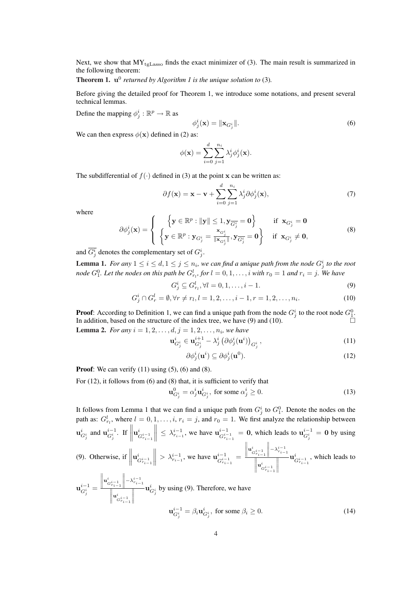Next, we show that  $MY_{teLasso}$  finds the exact minimizer of (3). The main result is summarized in the following theorem:

## **Theorem 1.**  $\mathbf{u}^0$  returned by Algorithm 1 is the unique solution to (3).

Before giving the detailed proof for Theorem 1, we introduce some notations, and present several technical lemmas.

Define the mapping  $\phi_j^i : \mathbb{R}^p \to \mathbb{R}$  as

$$
\phi_j^i(\mathbf{x}) = \|\mathbf{x}_{G_j^i}\|.\tag{6}
$$

We can then express  $\phi(\mathbf{x})$  defined in (2) as:

$$
\phi(\mathbf{x}) = \sum_{i=0}^d \sum_{j=1}^{n_i} \lambda_j^i \phi_j^i(\mathbf{x}).
$$

The subdifferential of  $f(.)$  defined in (3) at the point x can be written as:

$$
\partial f(\mathbf{x}) = \mathbf{x} - \mathbf{v} + \sum_{i=0}^{d} \sum_{j=1}^{n_i} \lambda_j^i \partial \phi_j^i(\mathbf{x}),\tag{7}
$$

where

$$
\partial \phi_j^i(\mathbf{x}) = \begin{cases} \left\{ \mathbf{y} \in \mathbb{R}^p : ||\mathbf{y}|| \leq 1, \mathbf{y}_{\overline{G_j^i}} = \mathbf{0} \right\} & \text{if } \mathbf{x}_{G_j^i} = \mathbf{0} \\ \left\{ \mathbf{y} \in \mathbb{R}^p : \mathbf{y}_{G_j^i} = \frac{\mathbf{x}_{G_j^i}}{||\mathbf{x}_{G_j^i}||}, \mathbf{y}_{\overline{G_j^i}} = \mathbf{0} \right\} & \text{if } \mathbf{x}_{G_j^i} \neq \mathbf{0}, \end{cases}
$$
 (8)

and  $\overline{G_j^i}$  denotes the complementary set of  $G_j^i$ .

**Lemma 1.** For any  $1 \leq i \leq d, 1 \leq j \leq n_i$ , we can find a unique path from the node  $G^i_j$  to the root *node*  $G_1^0$ . Let the nodes on this path be  $G_{r_l}^l$ , for  $l = 0, 1, \ldots, i$  with  $r_0 = 1$  and  $r_i = j$ . We have

$$
G_j^i \subseteq G_{r_l}^l, \forall l = 0, 1, \dots, i - 1.
$$
\n(9)

$$
G_j^i \cap G_r^l = \emptyset, \forall r \neq r_l, l = 1, 2, \dots, i - 1, r = 1, 2, \dots, n_i.
$$
 (10)

**Proof**: According to Definition 1, we can find a unique path from the node  $G_j^i$  to the root node  $G_1^0$ . In addition, based on the structure of the index tree, we have  $(9)$  and  $(10)$ .

**Lemma 2.** *For any*  $i = 1, 2, ..., d, j = 1, 2, ..., n_i$ , we have

$$
\mathbf{u}_{G_j^i}^i \in \mathbf{u}_{G_j^i}^{i+1} - \lambda_j^i \left( \partial \phi_j^i(\mathbf{u}^i) \right)_{G_j^i},\tag{11}
$$

$$
\partial \phi_j^i(\mathbf{u}^i) \subseteq \partial \phi_j^i(\mathbf{u}^0). \tag{12}
$$

**Proof:** We can verify  $(11)$  using  $(5)$ ,  $(6)$  and  $(8)$ .

For (12), it follows from (6) and (8) that, it is sufficient to verify that

$$
\mathbf{u}_{G_j^i}^0 = \alpha_j^i \mathbf{u}_{G_j^i}^i, \text{ for some } \alpha_j^i \ge 0.
$$
 (13)

It follows from Lemma 1 that we can find a unique path from  $G_i^i$  to  $G_1^0$ . Denote the nodes on the It follows from Lemma 1 that we can find a unique path from  $G_j$  to  $G_1$ . Denote the houses on the path as:  $G_{r_l}^l$ , where  $l = 0, 1, ..., i$ ,  $r_i = j$ , and  $r_0 = 1$ . We first analyze the relationship between  $\mathbf{u}_{G_j^i}^i$  and  $\mathbf{u}_{G_j^i}^{i-1}$ . If  $\mathbf{e}^{\:\:l}_{\:\:l}$  $G^{i-1}_{r_{i-1}}$  $\begin{aligned} \mathbf{1}, \dots, i, r_i &= j, \text{ and } r_0 = 0, \ \mathbf{1}_{\mathcal{S}_{r_{i-1}}} &\leq \lambda_{r_{i-1}}^{i-1}, \text{ we have } \mathbf{u}_{\mathcal{G}_{r_i}}^{i-1} \end{aligned}$  $\frac{i-1}{G_{r_{i-1}}^{i-1}} = 0$ , which leads to  $\mathbf{u}_{G_j^i}^{i-1} = 0$  by using (9). Otherwise, if  $\|\mathbf{u}^i_{\epsilon}$  $G^{i-1}_{r_{i-1}}$  $\left\| > \lambda_{r_{i-1}}^{i-1}$ , we have  $\mathbf{u}_{G_{r_i}}^{i-1}$  $\frac{\binom{i-1}{i-1}}{\binom{i}{i-1}} =$  $\|\mathbf{u}^i_{G^{i-1}_{r_{i-1}}}$  $\frac{a_{r_{i-1}}^{i-1}}{\left\| \mathbf{u}^i_{G^{i-1}_{r_{i-1}}} \right\|}$  $\begin{array}{c} \hline \end{array}$  $\mathbf{u}^i$  $\frac{i}{G^{i-1}_{r_{i-1}}}$ , which leads to  $\mathbf{u}_{G_j^i}^{i-1} =$ and a state  $\|\mathbf{u}^i_{G^{i-1}_{r_{i-1}}}$  $\frac{a_{r_{i-1}}^{i-1}}{\left\| \mathbf{u}^i_{G^{i-1}_{r_{i-1}}} \right\|}$ ° ° ° ° °  $\mathbf{u}_{G_j^i}^i$  by using (9). Therefore, we have  $\mathbf{u}_{G_j^i}^{i-1} = \beta_i \mathbf{u}_{G_j^i}^i$ , for some  $\beta_i \ge 0$ . (14)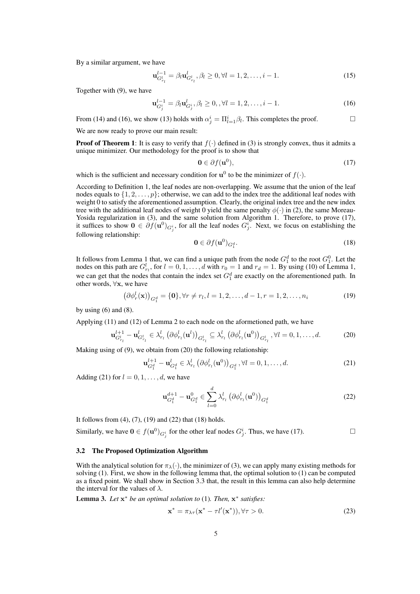By a similar argument, we have

$$
\mathbf{u}_{G_{r_l}}^{l-1} = \beta_l \mathbf{u}_{G_{r_l}}^l, \beta_l \ge 0, \forall l = 1, 2, \dots, i-1.
$$
 (15)

Together with (9), we have

$$
\mathbf{u}_{G_j^i}^{l-1} = \beta_l \mathbf{u}_{G_j^i}^l, \beta_l \ge 0, \forall l = 1, 2, \dots, i-1.
$$
 (16)

From (14) and (16), we show (13) holds with  $\alpha_j^i = \prod_{l=1}^i \beta_l$ . This completes the proof.

We are now ready to prove our main result:

**Proof of Theorem 1:** It is easy to verify that  $f(.)$  defined in (3) is strongly convex, thus it admits a unique minimizer. Our methodology for the proof is to show that

$$
\mathbf{0} \in \partial f(\mathbf{u}^0),\tag{17}
$$

which is the sufficient and necessary condition for  $\mathbf{u}^0$  to be the minimizer of  $f(.)$ .

According to Definition 1, the leaf nodes are non-overlapping. We assume that the union of the leaf nodes equals to  $\{1, 2, \ldots, p\}$ ; otherwise, we can add to the index tree the additional leaf nodes with weight 0 to satisfy the aforementioned assumption. Clearly, the original index tree and the new index tree with the additional leaf nodes of weight 0 yield the same penalty  $\phi(\cdot)$  in (2), the same Moreau-Yosida regularization in (3), and the same solution from Algorithm 1. Therefore, to prove (17), it suffices to show  $0 \in \partial f(u^0)_{G_j^i}$ , for all the leaf nodes  $G_j^i$ . Next, we focus on establishing the following relationship:

$$
\mathbf{0} \in \partial f(\mathbf{u}^0)_{G_1^d}.\tag{18}
$$

It follows from Lemma 1 that, we can find a unique path from the node  $G_1^d$  to the root  $G_1^0$ . Let the nodes on this path are  $G_{r_l}^l$ , for  $l = 0, 1, \ldots, d$  with  $r_0 = 1$  and  $r_d = 1$ . By using (10) of Lemma 1, we can get that the nodes that contain the index set  $G_1^d$  are exactly on the aforementioned path. In other words, ∀x, we have

$$
(\partial \phi_r^l(\mathbf{x}))_{G_1^d} = \{\mathbf{0}\}, \forall r \neq r_l, l = 1, 2, \dots, d - 1, r = 1, 2, \dots, n_i
$$
 (19)

by using  $(6)$  and  $(8)$ .

Applying (11) and (12) of Lemma 2 to each node on the aformetioned path, we have

$$
\mathbf{u}_{G_{r_l}^l}^{l+1} - \mathbf{u}_{G_{r_l}^l}^l \in \lambda_{r_l}^l \left(\partial \phi_{r_l}^l(\mathbf{u}^l)\right)_{G_{r_l}^l} \subseteq \lambda_{r_l}^l \left(\partial \phi_{r_l}^l(\mathbf{u}^0)\right)_{G_{r_l}^l}, \forall l = 0, 1, \ldots, d.
$$
 (20)

Making using of (9), we obtain from (20) the following relationship:

$$
\mathbf{u}_{G_1^d}^{l+1} - \mathbf{u}_{G_1^d}^l \in \lambda_{r_l}^l \left( \partial \phi_{r_l}^l(\mathbf{u}^0) \right)_{G_1^d}, \forall l = 0, 1, ..., d.
$$
 (21)

Adding (21) for  $l = 0, 1, \ldots, d$ , we have

$$
\mathbf{u}_{G_1^d}^{d+1} - \mathbf{u}_{G_1^d}^0 \in \sum_{l=0}^d \lambda_{r_l}^l \left(\partial \phi_{r_l}^l(\mathbf{u}^0)\right)_{G_1^d}
$$
(22)

It follows from  $(4)$ ,  $(7)$ ,  $(19)$  and  $(22)$  that  $(18)$  holds.

Similarly, we have  $0 \in f(\mathbf{u}^0)_{G_j^i}$  for the other leaf nodes  $G_j^i$ . Thus, we have (17).

#### 3.2 The Proposed Optimization Algorithm

With the analytical solution for  $\pi_{\lambda}(\cdot)$ , the minimizer of (3), we can apply many existing methods for solving (1). First, we show in the following lemma that, the optimal solution to (1) can be computed as a fixed point. We shall show in Section 3.3 that, the result in this lemma can also help determine the interval for the values of  $\lambda$ .

Lemma 3. *Let* x <sup>∗</sup> *be an optimal solution to* (1)*. Then,* x ∗ *satisfies:*

$$
\mathbf{x}^* = \pi_{\lambda \tau}(\mathbf{x}^* - \tau l'(\mathbf{x}^*)), \forall \tau > 0.
$$
 (23)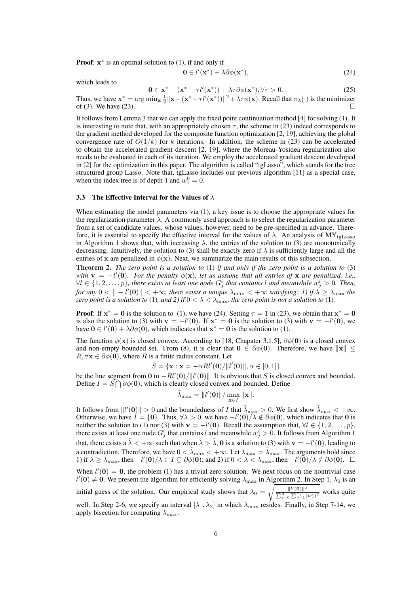**Proof:**  $x^*$  is an optimal solution to  $(1)$ , if and only if

$$
\mathbf{0} \in l'(\mathbf{x}^*) + \lambda \partial \phi(\mathbf{x}^*),\tag{24}
$$

which leads to

$$
\mathbf{0} \in \mathbf{x}^* - (\mathbf{x}^* - \tau l'(\mathbf{x}^*)) + \lambda \tau \partial \phi(\mathbf{x}^*), \forall \tau > 0.
$$
 (25)

Thus, we have  $\mathbf{x}^* = \arg \min_{\mathbf{x}} \frac{1}{2} ||\mathbf{x} - (\mathbf{x}^* - \tau l'(\mathbf{x}^*))||^2 + \lambda \tau \phi(\mathbf{x})$ . Recall that  $\pi_{\lambda}(\cdot)$  is the minimizer of (3). We have (23).

It follows from Lemma 3 that we can apply the fixed point continuation method [4] for solving (1). It is interesting to note that, with an appropriately chosen  $\tau$ , the scheme in (23) indeed corresponds to the gradient method developed for the composite function optimization [2, 19], achieving the global convergence rate of  $O(1/k)$  for k iterations. In addition, the scheme in (23) can be accelerated to obtain the accelerated gradient descent [2, 19], where the Moreau-Yosidea regularization also needs to be evaluated in each of its iteration. We employ the accelerated gradient descent developed in [2] for the optimization in this paper. The algorithm is called "tgLasso", which stands for the tree structured group Lasso. Note that, tgLasso includes our previous algorithm [11] as a special case, when the index tree is of depth 1 and  $w_1^0 = 0$ .

#### 3.3 The Effective Interval for the Values of  $\lambda$

When estimating the model parameters via (1), a key issue is to choose the appropriate values for the regularization parameter  $\lambda$ . A commonly used approach is to select the regularization parameter from a set of candidate values, whose values, however, need to be pre-specified in advance. Therefore, it is essential to specify the effective interval for the values of  $\lambda$ . An analysis of  $MY_{tgLasso}$ in Algorithm 1 shows that, with increasing  $\lambda$ , the entries of the solution to (3) are monotonically decreasing. Intuitively, the solution to (3) shall be exactly zero if  $\lambda$  is sufficiently large and all the entries of x are penalized in  $\phi(\mathbf{x})$ . Next, we summarize the main results of this subsection.

Theorem 2. *The zero point is a solution to* (1) *if and only if the zero point is a solution to* (3) with  $\mathbf{v} = -l'(\mathbf{0})$ . For the penalty  $\phi(\mathbf{x})$ , let us assume that all entries of x are penalized, i.e.,  $\forall l \in \{1, 2, \ldots, p\}$ , there exists at least one node  $G_j^i$  that contains l and meanwhile  $w_j^i > 0$ . Then, for any  $0 < ||-l'(0)|| < +\infty$ , there exists a unique  $\lambda_{\max} < +\infty$  satisfying: 1) if  $\lambda \geq \lambda_{\max}$  the *zero point is a solution to* (1)*, and 2) if*  $0 < \lambda < \lambda_{\text{max}}$ *, the zero point is not a solution to* (1)*.* 

**Proof:** If  $x^* = 0$  is the solution to (1), we have (24). Setting  $\tau = 1$  in (23), we obtain that  $x^* = 0$ is also the solution to (3) with  $\mathbf{v} = -l'(\mathbf{0})$ . If  $\mathbf{x}^* = \mathbf{0}$  is the solution to (3) with  $\mathbf{v} = -l'(\mathbf{0})$ , we have  $0 \in l'(\mathbf{0}) + \lambda \partial \phi(\mathbf{0})$ , which indicates that  $\mathbf{x}^* = \mathbf{0}$  is the solution to (1).

The function  $\phi(\mathbf{x})$  is closed convex. According to [18, Chapater 3.1.5],  $\partial\phi(\mathbf{0})$  is a closed convex and non-empty bounded set. From (8), it is clear that  $0 \in \partial \phi(0)$ . Therefore, we have  $||x|| \le$  $R, \forall x \in \partial \phi(0)$ , where R is a finite radius constant. Let

$$
S = \{ \mathbf{x} : \mathbf{x} = -\alpha R l'(0) / ||l'(0)||, \alpha \in [0, 1] \}
$$

be the line segment from 0 to  $-Rl'(0)/\|l'(0)\|$ . It is obvious that S is closed convex and bounded. Define  $I = S \bigcap \partial \phi(0)$ , which is clearly closed convex and bounded. Define

$$
\tilde{\lambda}_{\max} = \|\mathbf{l}'(\mathbf{0})\| / \max_{\mathbf{x} \in I} \|\mathbf{x}\|.
$$

It follows from  $||l'(0)|| > 0$  and the boundedness of I that  $\tilde{\lambda}_{\max} > 0$ . We first show  $\tilde{\lambda}_{\max} < +\infty$ . Otherwise, we have  $I = \{0\}$ . Thus,  $\forall \lambda > 0$ , we have  $-l'(0)/\lambda \notin \partial \phi(0)$ , which indicates that 0 is neither the solution to (1) nor (3) with  $\mathbf{v} = -l'(\mathbf{0})$ . Recall the assumption that,  $\forall l \in \{1, 2, ..., p\}$ , there exists at least one node  $G_j^i$  that contains l and meanwhile  $w_j^i > 0$ . It follows from Algorithm 1 that, there exists a  $\tilde{\lambda} < +\infty$  such that when  $\lambda > \tilde{\lambda}$ , 0 is a solution to (3) with  $\mathbf{v} = -l'(\mathbf{0})$ , leading to a contradiction. Therefore, we have  $0 < \tilde{\lambda}_{\max} < +\infty$ . Let  $\lambda_{\max} = \tilde{\lambda}_{\max}$ . The arguments hold since 1) if  $\lambda \geq \lambda_{\max}$ , then  $-l'(0)/\lambda \in I \subseteq \partial \phi(0)$ ; and 2) if  $0 < \lambda < \lambda_{\max}$ , then  $-l'(\tilde{\mathbf{0}})/\lambda \notin \partial \phi(0)$ .  $\Box$ When  $l'(0) = 0$ , the problem (1) has a trivial zero solution. We next focus on the nontrivial case

 $l'(0) \neq 0$ . We present the algorithm for efficiently solving  $\lambda_{\text{max}}$  in Algorithm 2. In Step 1,  $\lambda_0$  is an initial guess of the solution. Our empirical study shows that  $\lambda_0 = \sqrt{\frac{||l'(\mathbf{0})||^2}{\sum_{i=0}^d \sum_{j=1}^{n_i} (w_j^i)^2}}$  works quite

well. In Step 2-6, we specify an interval  $[\lambda_1, \lambda_2]$  in which  $\lambda_{\text{max}}$  resides. Finally, in Step 7-14, we apply bisection for computing  $\lambda_{\text{max}}$ .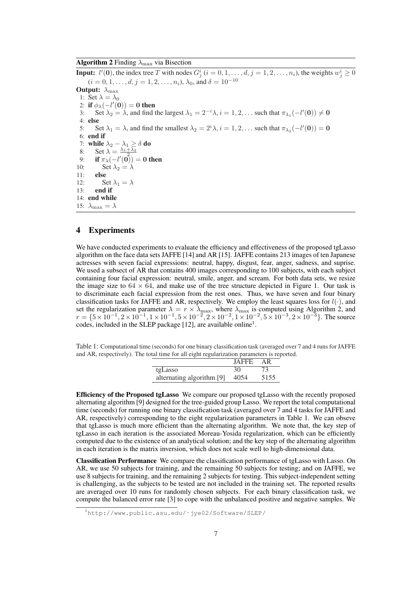**Algorithm 2** Finding  $\lambda_{\text{max}}$  via Bisection

**Input:**  $l'(0)$ , the index tree T with nodes  $G_j^i$   $(i = 0, 1, \ldots, d, j = 1, 2, \ldots, n_i)$ , the weights  $w_j^i \geq 0$  $(i = 0, 1, \ldots, d, j = 1, 2, \ldots, n_i)$ ,  $\lambda_0$ , and  $\delta = 10^{-10}$ Output:  $\lambda_{\text{max}}$ 1: Set  $\lambda = \lambda_0$ 2: if  $\phi_{\lambda}(-l'(0)) = 0$  then 3: Set  $\lambda_2 = \lambda$ , and find the largest  $\lambda_1 = 2^{-i}\lambda$ ,  $i = 1, 2, \dots$  such that  $\pi_{\lambda_1}(-l'(0)) \neq 0$ 4: else 5: Set  $\lambda_1 = \lambda$ , and find the smallest  $\lambda_2 = 2^i \lambda$ ,  $i = 1, 2, \dots$  such that  $\pi_{\lambda_2}(-l'(0)) = 0$ 6: end if 7: while  $\lambda_2 - \lambda_1 \ge \delta$  do<br>8. Set  $\lambda = \frac{\lambda_1 + \lambda_2}{\lambda_1 + \lambda_2}$ 8: Set  $\lambda = \frac{\lambda_1}{\lambda_2}$ 9: **if**  $\pi_{\lambda}(-l'(0)) = 0$  then 10: Set  $\lambda_2 = \lambda$ <br>11: else else 12: Set  $\lambda_1 = \lambda$ <br>13: **end if** end if 14: end while 15:  $\lambda_{\text{max}} = \lambda$ 

# 4 Experiments

We have conducted experiments to evaluate the efficiency and effectiveness of the proposed tgLasso algorithm on the face data sets JAFFE [14] and AR [15]. JAFFE contains 213 images of ten Japanese actresses with seven facial expressions: neutral, happy, disgust, fear, anger, sadness, and suprise. We used a subsect of AR that contains 400 images corresponding to 100 subjects, with each subject containing four facial expression: neutral, smile, anger, and scream. For both data sets, we resize the image size to  $64 \times 64$ , and make use of the tree structure depicted in Figure 1. Our task is to discriminate each facial expression from the rest ones. Thus, we have seven and four binary classification tasks for JAFFE and AR, respectively. We employ the least squares loss for  $l(\cdot)$ , and set the regularization parameter  $\lambda = r \times \lambda_{\text{max}}$ , where  $\lambda_{\text{max}}$  is computed using Algorithm 2, and  $r = \{5 \times 10^{-1}, 2 \times 10^{-1}, 1 \times 10^{-1}, 5 \times 10^{-2}, 2 \times 10^{-2}, 1 \times 10^{-2}, 5 \times 10^{-3}, 2 \times 10^{-3}\}$ . The source codes, included in the SLEP package  $[12]$ , are available online<sup>1</sup>.

Table 1: Computational time (seconds) for one binary classification task (averaged over 7 and 4 runs for JAFFE and AR, respectively). The total time for all eight regularization parameters is reported.

|                           | <b>JAFFE</b> | AR   |
|---------------------------|--------------|------|
| tgLasso                   | 30           | 73   |
| alternating algorithm [9] | 4054         | 5155 |

Efficiency of the Proposed tgLasso We compare our proposed tgLasso with the recently proposed alternating algorithm [9] designed for the tree-guided group Lasso. We report the total computational time (seconds) for running one binary classification task (averaged over 7 and 4 tasks for JAFFE and AR, respectively) corresponding to the eight regularization parameters in Table 1. We can obseve that tgLasso is much more efficient than the alternating algorithm. We note that, the key step of tgLasso in each iteration is the associated Moreau-Yosida regularization, which can be efficiently computed due to the existence of an analytical solution; and the key step of the alternating algorithm in each iteration is the matrix inversion, which does not scale well to high-dimensional data.

Classification Performance We compare the classification performance of tgLasso with Lasso. On AR, we use 50 subjects for training, and the remaining 50 subjects for testing; and on JAFFE, we use 8 subjects for training, and the remaining 2 subjects for testing. This subject-independent setting is challenging, as the subjects to be tested are not included in the training set. The reported results are averaged over 10 runs for randomly chosen subjects. For each binary classification task, we compute the balanced error rate [3] to cope with the unbalanced positive and negative samples. We

<sup>1</sup>http://www.public.asu.edu/˜jye02/Software/SLEP/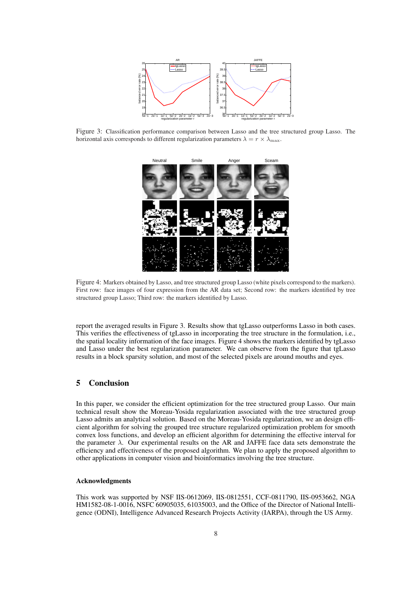

Figure 3: Classification performance comparison between Lasso and the tree structured group Lasso. The horizontal axis corresponds to different regularization parameters  $\lambda = r \times \lambda_{\text{max}}$ .



Figure 4: Markers obtained by Lasso, and tree structured group Lasso (white pixels correspond to the markers). First row: face images of four expression from the AR data set; Second row: the markers identified by tree structured group Lasso; Third row: the markers identified by Lasso.

report the averaged results in Figure 3. Results show that tgLasso outperforms Lasso in both cases. This verifies the effectiveness of tgLasso in incorporating the tree structure in the formulation, i.e., the spatial locality information of the face images. Figure 4 shows the markers identified by tgLasso and Lasso under the best regularization parameter. We can observe from the figure that tgLasso results in a block sparsity solution, and most of the selected pixels are around mouths and eyes.

# 5 Conclusion

In this paper, we consider the efficient optimization for the tree structured group Lasso. Our main technical result show the Moreau-Yosida regularization associated with the tree structured group Lasso admits an analytical solution. Based on the Moreau-Yosida regularization, we an design efficient algorithm for solving the grouped tree structure regularized optimization problem for smooth convex loss functions, and develop an efficient algorithm for determining the effective interval for the parameter  $\lambda$ . Our experimental results on the AR and JAFFE face data sets demonstrate the efficiency and effectiveness of the proposed algorithm. We plan to apply the proposed algorithm to other applications in computer vision and bioinformatics involving the tree structure.

### Acknowledgments

This work was supported by NSF IIS-0612069, IIS-0812551, CCF-0811790, IIS-0953662, NGA HM1582-08-1-0016, NSFC 60905035, 61035003, and the Office of the Director of National Intelligence (ODNI), Intelligence Advanced Research Projects Activity (IARPA), through the US Army.